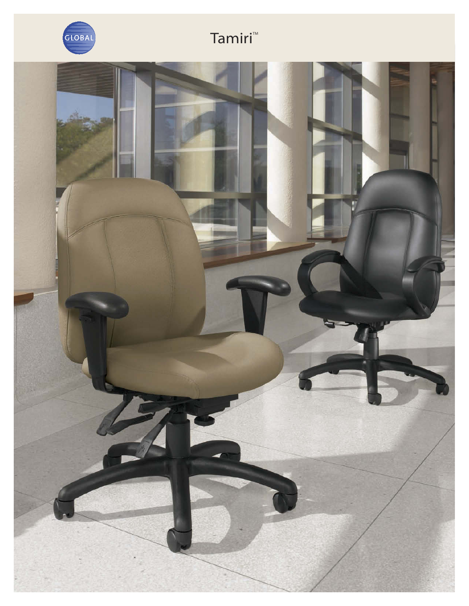

## Tamiri<sup>™</sup>

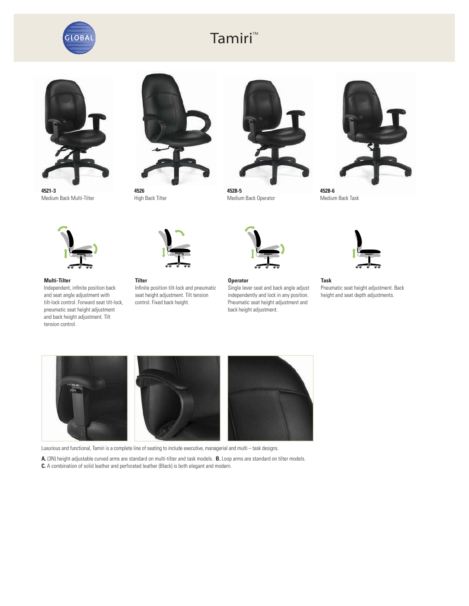

## Tamiri<sup>™</sup>



**4521-3** Medium Back Multi-Tilter



**4526** High Back Tilter



**4528-5** Medium Back Operator



**4528-6** Medium Back Task



**Multi-Tilter**

Independent, infinite position back and seat angle adjustment with tilt-lock control. Forward seat tilt-lock, pneumatic seat height adjustment and back height adjustment. Tilt tension control.



**Tilter** Infinite position tilt-lock and pneumatic seat height adjustment. Tilt tension control. Fixed back height.



**Operator**

Single lever seat and back angle adjust independently and lock in any position. Pneumatic seat height adjustment and back height adjustment.



**Task** Pneumatic seat height adjustment. Back height and seat depth adjustments.



Luxurious and functional, Tamiri is a complete line of seating to include executive, managerial and multi – task designs.

**A.** (3N) height adjustable curved arms are standard on multi-tilter and task models. **B.** Loop arms are standard on tilter models. **C.** A combination of solid leather and perforated leather (Black) is both elegant and modern.